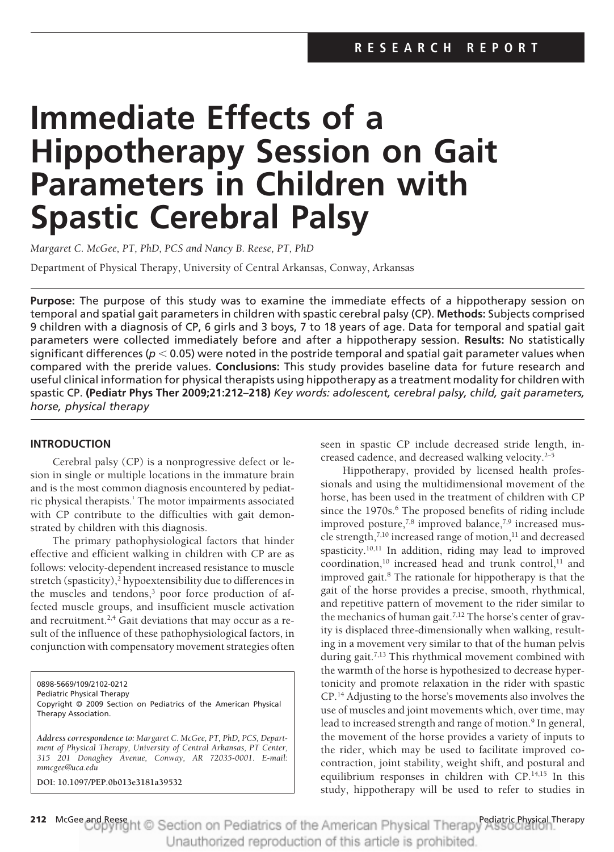# **Immediate Effects of a Hippotherapy Session on Gait Parameters in Children with Spastic Cerebral Palsy**

*Margaret C. McGee, PT, PhD, PCS and Nancy B. Reese, PT, PhD*

Department of Physical Therapy, University of Central Arkansas, Conway, Arkansas

**Purpose:** The purpose of this study was to examine the immediate effects of a hippotherapy session on temporal and spatial gait parameters in children with spastic cerebral palsy (CP). **Methods:** Subjects comprised 9 children with a diagnosis of CP, 6 girls and 3 boys, 7 to 18 years of age. Data for temporal and spatial gait parameters were collected immediately before and after a hippotherapy session. **Results:** No statistically significant differences ( $p < 0.05$ ) were noted in the postride temporal and spatial gait parameter values when compared with the preride values. **Conclusions:** This study provides baseline data for future research and useful clinical information for physical therapists using hippotherapy as a treatment modality for children with spastic CP. **(Pediatr Phys Ther 2009;21:212–218)** *Key words: adolescent, cerebral palsy, child, gait parameters, horse, physical therapy*

#### **INTRODUCTION**

Cerebral palsy (CP) is a nonprogressive defect or lesion in single or multiple locations in the immature brain and is the most common diagnosis encountered by pediatric physical therapists.<sup>1</sup> The motor impairments associated with CP contribute to the difficulties with gait demonstrated by children with this diagnosis.

The primary pathophysiological factors that hinder effective and efficient walking in children with CP are as follows: velocity-dependent increased resistance to muscle stretch (spasticity),<sup>2</sup> hypoextensibility due to differences in the muscles and tendons,<sup>3</sup> poor force production of affected muscle groups, and insufficient muscle activation and recruitment.<sup>2,4</sup> Gait deviations that may occur as a result of the influence of these pathophysiological factors, in conjunction with compensatory movement strategies often

0898-5669/109/2102-0212 Pediatric Physical Therapy

Copyright © 2009 Section on Pediatrics of the American Physical Therapy Association.

*Address correspondence to: Margaret C. McGee, PT, PhD, PCS, Department of Physical Therapy, University of Central Arkansas, PT Center, 315 201 Donaghey Avenue, Conway, AR 72035-0001. E-mail: mmcgee@uca.edu*

**DOI: 10.1097/PEP.0b013e3181a39532**

seen in spastic CP include decreased stride length, increased cadence, and decreased walking velocity.<sup>2–5</sup>

Hippotherapy, provided by licensed health professionals and using the multidimensional movement of the horse, has been used in the treatment of children with CP since the 1970s.<sup>6</sup> The proposed benefits of riding include improved posture,<sup>7,8</sup> improved balance,<sup>7,9</sup> increased muscle strength,<sup>7,10</sup> increased range of motion,<sup>11</sup> and decreased spasticity.10,11 In addition, riding may lead to improved coordination,<sup>10</sup> increased head and trunk control,<sup>11</sup> and improved gait.8 The rationale for hippotherapy is that the gait of the horse provides a precise, smooth, rhythmical, and repetitive pattern of movement to the rider similar to the mechanics of human gait.<sup>7,12</sup> The horse's center of gravity is displaced three-dimensionally when walking, resulting in a movement very similar to that of the human pelvis during gait.<sup>7,13</sup> This rhythmical movement combined with the warmth of the horse is hypothesized to decrease hypertonicity and promote relaxation in the rider with spastic CP.14 Adjusting to the horse's movements also involves the use of muscles and joint movements which, over time, may lead to increased strength and range of motion.<sup>9</sup> In general, the movement of the horse provides a variety of inputs to the rider, which may be used to facilitate improved cocontraction, joint stability, weight shift, and postural and equilibrium responses in children with CP.14,15 In this study, hippotherapy will be used to refer to studies in

212 McGee and Reese ht © Section on Pediatrics of the American Physical Therapy Association Therapy Unauthorized reproduction of this article is prohibited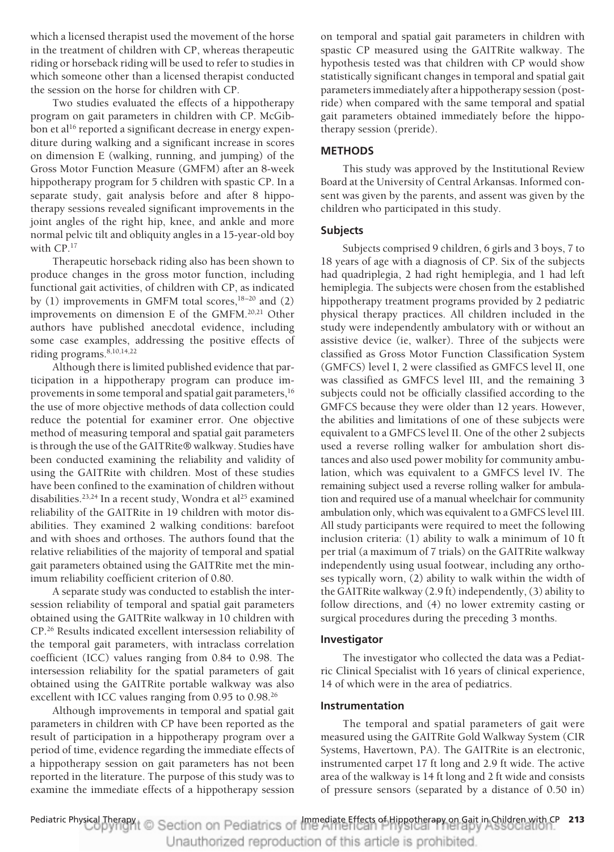which a licensed therapist used the movement of the horse in the treatment of children with CP, whereas therapeutic riding or horseback riding will be used to refer to studies in which someone other than a licensed therapist conducted the session on the horse for children with CP.

Two studies evaluated the effects of a hippotherapy program on gait parameters in children with CP. McGibbon et al<sup>16</sup> reported a significant decrease in energy expenditure during walking and a significant increase in scores on dimension E (walking, running, and jumping) of the Gross Motor Function Measure (GMFM) after an 8-week hippotherapy program for 5 children with spastic CP. In a separate study, gait analysis before and after 8 hippotherapy sessions revealed significant improvements in the joint angles of the right hip, knee, and ankle and more normal pelvic tilt and obliquity angles in a 15-year-old boy with  $CP$ .<sup>17</sup>

Therapeutic horseback riding also has been shown to produce changes in the gross motor function, including functional gait activities, of children with CP, as indicated by (1) improvements in GMFM total scores,<sup>18-20</sup> and (2) improvements on dimension E of the GMFM.20,21 Other authors have published anecdotal evidence, including some case examples, addressing the positive effects of riding programs.8,10,14,22

Although there is limited published evidence that participation in a hippotherapy program can produce improvements in some temporal and spatial gait parameters,<sup>16</sup> the use of more objective methods of data collection could reduce the potential for examiner error. One objective method of measuring temporal and spatial gait parameters is through the use of the GAITRite® walkway. Studies have been conducted examining the reliability and validity of using the GAITRite with children. Most of these studies have been confined to the examination of children without disabilities.<sup>23,24</sup> In a recent study, Wondra et al<sup>25</sup> examined reliability of the GAITRite in 19 children with motor disabilities. They examined 2 walking conditions: barefoot and with shoes and orthoses. The authors found that the relative reliabilities of the majority of temporal and spatial gait parameters obtained using the GAITRite met the minimum reliability coefficient criterion of 0.80.

A separate study was conducted to establish the intersession reliability of temporal and spatial gait parameters obtained using the GAITRite walkway in 10 children with CP.26 Results indicated excellent intersession reliability of the temporal gait parameters, with intraclass correlation coefficient (ICC) values ranging from 0.84 to 0.98. The intersession reliability for the spatial parameters of gait obtained using the GAITRite portable walkway was also excellent with ICC values ranging from 0.95 to 0.98.<sup>26</sup>

Although improvements in temporal and spatial gait parameters in children with CP have been reported as the result of participation in a hippotherapy program over a period of time, evidence regarding the immediate effects of a hippotherapy session on gait parameters has not been reported in the literature. The purpose of this study was to examine the immediate effects of a hippotherapy session

on temporal and spatial gait parameters in children with spastic CP measured using the GAITRite walkway. The hypothesis tested was that children with CP would show statistically significant changes in temporal and spatial gait parameters immediately after a hippotherapy session (postride) when compared with the same temporal and spatial gait parameters obtained immediately before the hippotherapy session (preride).

## **METHODS**

This study was approved by the Institutional Review Board at the University of Central Arkansas. Informed consent was given by the parents, and assent was given by the children who participated in this study.

## **Subjects**

Subjects comprised 9 children, 6 girls and 3 boys, 7 to 18 years of age with a diagnosis of CP. Six of the subjects had quadriplegia, 2 had right hemiplegia, and 1 had left hemiplegia. The subjects were chosen from the established hippotherapy treatment programs provided by 2 pediatric physical therapy practices. All children included in the study were independently ambulatory with or without an assistive device (ie, walker). Three of the subjects were classified as Gross Motor Function Classification System (GMFCS) level I, 2 were classified as GMFCS level II, one was classified as GMFCS level III, and the remaining 3 subjects could not be officially classified according to the GMFCS because they were older than 12 years. However, the abilities and limitations of one of these subjects were equivalent to a GMFCS level II. One of the other 2 subjects used a reverse rolling walker for ambulation short distances and also used power mobility for community ambulation, which was equivalent to a GMFCS level IV. The remaining subject used a reverse rolling walker for ambulation and required use of a manual wheelchair for community ambulation only, which was equivalent to a GMFCS level III. All study participants were required to meet the following inclusion criteria: (1) ability to walk a minimum of 10 ft per trial (a maximum of 7 trials) on the GAITRite walkway independently using usual footwear, including any orthoses typically worn, (2) ability to walk within the width of the GAITRite walkway (2.9 ft) independently, (3) ability to follow directions, and (4) no lower extremity casting or surgical procedures during the preceding 3 months.

## **Investigator**

The investigator who collected the data was a Pediatric Clinical Specialist with 16 years of clinical experience, 14 of which were in the area of pediatrics.

## **Instrumentation**

The temporal and spatial parameters of gait were measured using the GAITRite Gold Walkway System (CIR Systems, Havertown, PA). The GAITRite is an electronic, instrumented carpet 17 ft long and 2.9 ft wide. The active area of the walkway is 14 ft long and 2 ft wide and consists of pressure sensors (separated by a distance of 0.50 in)

Pediatric Physical Therapy I<sub>mp</sub> Section on Pediatrics of Immediate Effects of Hippotherapy on Gait in Children with CP 213 Unauthorized reproduction of this article is prohibited.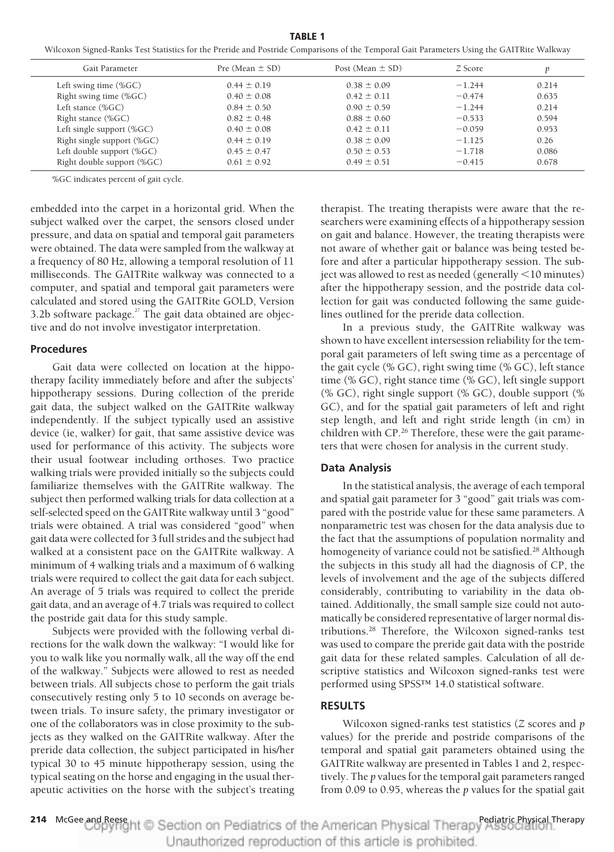```
TABLE 1
```
Wilcoxon Signed-Ranks Test Statistics for the Preride and Postride Comparisons of the Temporal Gait Parameters Using the GAITRite Walkway

| Gait Parameter               | Pre (Mean $\pm$ SD) | Post (Mean $\pm$ SD) | Z Score  |       |
|------------------------------|---------------------|----------------------|----------|-------|
| Left swing time $(\%GC)$     | $0.44 \pm 0.19$     | $0.38 \pm 0.09$      | $-1.244$ | 0.214 |
| Right swing time $(\%GC)$    | $0.40 \pm 0.08$     | $0.42 \pm 0.11$      | $-0.474$ | 0.635 |
| Left stance $(\%GC)$         | $0.84 \pm 0.50$     | $0.90 \pm 0.59$      | $-1.244$ | 0.214 |
| Right stance (%GC)           | $0.82 \pm 0.48$     | $0.88 \pm 0.60$      | $-0.533$ | 0.594 |
| Left single support $(\%GC)$ | $0.40 \pm 0.08$     | $0.42 \pm 0.11$      | $-0.059$ | 0.953 |
| Right single support (%GC)   | $0.44 \pm 0.19$     | $0.38 \pm 0.09$      | $-1.125$ | 0.26  |
| Left double support $(\%GC)$ | $0.45 \pm 0.47$     | $0.50 \pm 0.53$      | $-1.718$ | 0.086 |
| Right double support (%GC)   | $0.61 \pm 0.92$     | $0.49 \pm 0.51$      | $-0.415$ | 0.678 |

%GC indicates percent of gait cycle.

embedded into the carpet in a horizontal grid. When the subject walked over the carpet, the sensors closed under pressure, and data on spatial and temporal gait parameters were obtained. The data were sampled from the walkway at a frequency of 80 Hz, allowing a temporal resolution of 11 milliseconds. The GAITRite walkway was connected to a computer, and spatial and temporal gait parameters were calculated and stored using the GAITRite GOLD, Version 3.2b software package.<sup>27</sup> The gait data obtained are objective and do not involve investigator interpretation.

### **Procedures**

Gait data were collected on location at the hippotherapy facility immediately before and after the subjects' hippotherapy sessions. During collection of the preride gait data, the subject walked on the GAITRite walkway independently. If the subject typically used an assistive device (ie, walker) for gait, that same assistive device was used for performance of this activity. The subjects wore their usual footwear including orthoses. Two practice walking trials were provided initially so the subjects could familiarize themselves with the GAITRite walkway. The subject then performed walking trials for data collection at a self-selected speed on the GAITRite walkway until 3 "good" trials were obtained. A trial was considered "good" when gait data were collected for 3 full strides and the subject had walked at a consistent pace on the GAITRite walkway. A minimum of 4 walking trials and a maximum of 6 walking trials were required to collect the gait data for each subject. An average of 5 trials was required to collect the preride gait data, and an average of 4.7 trials was required to collect the postride gait data for this study sample.

Subjects were provided with the following verbal directions for the walk down the walkway: "I would like for you to walk like you normally walk, all the way off the end of the walkway." Subjects were allowed to rest as needed between trials. All subjects chose to perform the gait trials consecutively resting only 5 to 10 seconds on average between trials. To insure safety, the primary investigator or one of the collaborators was in close proximity to the subjects as they walked on the GAITRite walkway. After the preride data collection, the subject participated in his/her typical 30 to 45 minute hippotherapy session, using the typical seating on the horse and engaging in the usual therapeutic activities on the horse with the subject's treating

therapist. The treating therapists were aware that the researchers were examining effects of a hippotherapy session on gait and balance. However, the treating therapists were not aware of whether gait or balance was being tested before and after a particular hippotherapy session. The subject was allowed to rest as needed (generally <10 minutes) after the hippotherapy session, and the postride data collection for gait was conducted following the same guidelines outlined for the preride data collection.

In a previous study, the GAITRite walkway was shown to have excellent intersession reliability for the temporal gait parameters of left swing time as a percentage of the gait cycle (% GC), right swing time (% GC), left stance time (% GC), right stance time (% GC), left single support (% GC), right single support (% GC), double support (% GC), and for the spatial gait parameters of left and right step length, and left and right stride length (in cm) in children with CP.<sup>26</sup> Therefore, these were the gait parameters that were chosen for analysis in the current study.

## **Data Analysis**

In the statistical analysis, the average of each temporal and spatial gait parameter for 3 "good" gait trials was compared with the postride value for these same parameters. A nonparametric test was chosen for the data analysis due to the fact that the assumptions of population normality and homogeneity of variance could not be satisfied.<sup>28</sup> Although the subjects in this study all had the diagnosis of CP, the levels of involvement and the age of the subjects differed considerably, contributing to variability in the data obtained. Additionally, the small sample size could not automatically be considered representative of larger normal distributions.28 Therefore, the Wilcoxon signed-ranks test was used to compare the preride gait data with the postride gait data for these related samples. Calculation of all descriptive statistics and Wilcoxon signed-ranks test were performed using SPSS™ 14.0 statistical software.

### **RESULTS**

Wilcoxon signed-ranks test statistics (*Z* scores and *p* values) for the preride and postride comparisons of the temporal and spatial gait parameters obtained using the GAITRite walkway are presented in Tables 1 and 2, respectively. The *p* values for the temporal gait parameters ranged from 0.09 to 0.95, whereas the *p* values for the spatial gait

214 McGee and Reese ht © Section on Pediatrics of the American Physical Therapy Association. Unauthorized reproduction of this article is prohibited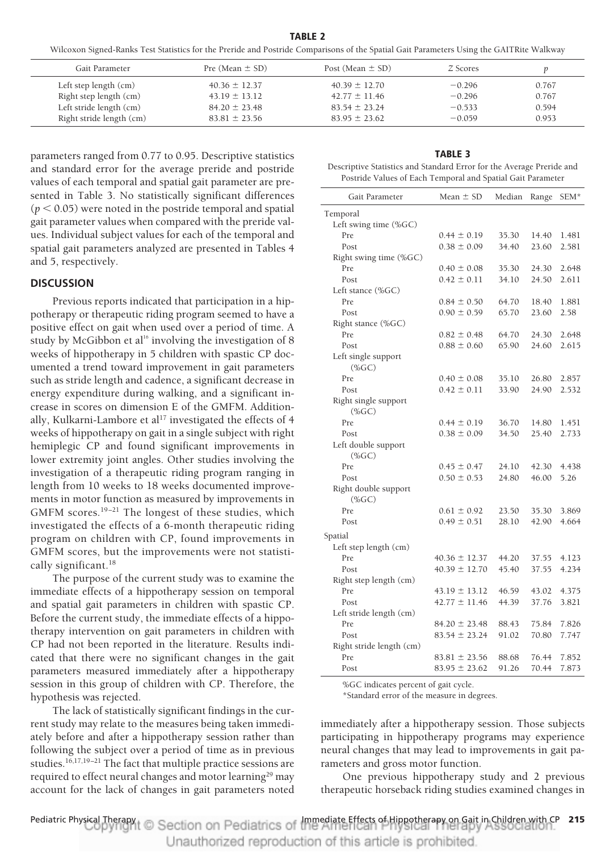**TABLE 2**

Wilcoxon Signed-Ranks Test Statistics for the Preride and Postride Comparisons of the Spatial Gait Parameters Using the GAITRite Walkway

| Gait Parameter           | Pre (Mean $\pm$ SD) | Post (Mean $\pm$ SD) | Z Scores |       |
|--------------------------|---------------------|----------------------|----------|-------|
| Left step length (cm)    | $40.36 \pm 12.37$   | $40.39 \pm 12.70$    | $-0.296$ | 0.767 |
| Right step length (cm)   | $43.19 \pm 13.12$   | $42.77 \pm 11.46$    | $-0.296$ | 0.767 |
| Left stride length (cm)  | $84.20 \pm 23.48$   | $83.54 \pm 23.24$    | $-0.533$ | 0.594 |
| Right stride length (cm) | $83.81 \pm 23.56$   | $83.95 \pm 23.62$    | $-0.059$ | 0.953 |

parameters ranged from 0.77 to 0.95. Descriptive statistics and standard error for the average preride and postride values of each temporal and spatial gait parameter are presented in Table 3. No statistically significant differences  $(p < 0.05)$  were noted in the postride temporal and spatial gait parameter values when compared with the preride values. Individual subject values for each of the temporal and spatial gait parameters analyzed are presented in Tables 4 and 5, respectively.

### **DISCUSSION**

Previous reports indicated that participation in a hippotherapy or therapeutic riding program seemed to have a positive effect on gait when used over a period of time. A study by McGibbon et al<sup>16</sup> involving the investigation of 8 weeks of hippotherapy in 5 children with spastic CP documented a trend toward improvement in gait parameters such as stride length and cadence, a significant decrease in energy expenditure during walking, and a significant increase in scores on dimension E of the GMFM. Additionally, Kulkarni-Lambore et al<sup>17</sup> investigated the effects of 4 weeks of hippotherapy on gait in a single subject with right hemiplegic CP and found significant improvements in lower extremity joint angles. Other studies involving the investigation of a therapeutic riding program ranging in length from 10 weeks to 18 weeks documented improvements in motor function as measured by improvements in GMFM scores.<sup>19-21</sup> The longest of these studies, which investigated the effects of a 6-month therapeutic riding program on children with CP, found improvements in GMFM scores, but the improvements were not statistically significant.<sup>18</sup>

The purpose of the current study was to examine the immediate effects of a hippotherapy session on temporal and spatial gait parameters in children with spastic CP. Before the current study, the immediate effects of a hippotherapy intervention on gait parameters in children with CP had not been reported in the literature. Results indicated that there were no significant changes in the gait parameters measured immediately after a hippotherapy session in this group of children with CP. Therefore, the hypothesis was rejected.

The lack of statistically significant findings in the current study may relate to the measures being taken immediately before and after a hippotherapy session rather than following the subject over a period of time as in previous studies.<sup>16,17,19-21</sup> The fact that multiple practice sessions are required to effect neural changes and motor learning<sup>29</sup> may account for the lack of changes in gait parameters noted

| Descriptive Statistics and Standard Error for the Average Preride and |  |
|-----------------------------------------------------------------------|--|
| Postride Values of Each Temporal and Spatial Gait Parameter           |  |

| Gait Parameter           | Mean $\pm$ SD     | Median | Range | SEM*  |  |  |
|--------------------------|-------------------|--------|-------|-------|--|--|
| Temporal                 |                   |        |       |       |  |  |
| Left swing time (%GC)    |                   |        |       |       |  |  |
| Pre                      | $0.44 \pm 0.19$   | 35.30  | 14.40 | 1.481 |  |  |
| Post                     | $0.38 \pm 0.09$   | 34.40  | 23.60 | 2.581 |  |  |
| Right swing time (%GC)   |                   |        |       |       |  |  |
| Pre.                     | $0.40 \pm 0.08$   | 35.30  | 24.30 | 2.648 |  |  |
| Post                     | $0.42 \pm 0.11$   | 34.10  | 24.50 | 2.611 |  |  |
| Left stance (%GC)        |                   |        |       |       |  |  |
| Pre                      | $0.84 \pm 0.50$   | 64.70  | 18.40 | 1.881 |  |  |
| Post                     | $0.90 \pm 0.59$   | 65.70  | 23.60 | 2.58  |  |  |
| Right stance (%GC)       |                   |        |       |       |  |  |
| Pre                      | $0.82 \pm 0.48$   | 64.70  | 24.30 | 2.648 |  |  |
| Post                     | $0.88 \pm 0.60$   | 65.90  | 24.60 | 2.615 |  |  |
| Left single support      |                   |        |       |       |  |  |
| $(\%GC)$                 |                   |        |       |       |  |  |
| Pre                      | $0.40 \pm 0.08$   | 35.10  | 26.80 | 2.857 |  |  |
| Post                     | $0.42 \pm 0.11$   | 33.90  | 24.90 | 2.532 |  |  |
| Right single support     |                   |        |       |       |  |  |
| $(% ^{0}G)$              |                   |        |       |       |  |  |
| Pre                      | $0.44 \pm 0.19$   | 36.70  | 14.80 | 1.451 |  |  |
| Post                     | $0.38 \pm 0.09$   | 34.50  | 25.40 | 2.733 |  |  |
| Left double support      |                   |        |       |       |  |  |
| $(% ^{0}G)$              |                   |        |       |       |  |  |
| Pre                      | $0.45 \pm 0.47$   | 24.10  | 42.30 | 4.438 |  |  |
| Post                     | $0.50 \pm 0.53$   | 24.80  | 46.00 | 5.26  |  |  |
| Right double support     |                   |        |       |       |  |  |
| $(\%GC)$                 |                   |        |       |       |  |  |
| Pre                      | $0.61 \pm 0.92$   | 23.50  | 35.30 | 3.869 |  |  |
| Post                     | $0.49 \pm 0.51$   | 28.10  | 42.90 | 4.664 |  |  |
| Spatial                  |                   |        |       |       |  |  |
| Left step length (cm)    |                   |        |       |       |  |  |
| Pre                      | $40.36 \pm 12.37$ | 44.20  | 37.55 | 4.123 |  |  |
| Post                     | $40.39 \pm 12.70$ | 45.40  | 37.55 | 4.234 |  |  |
| Right step length (cm)   |                   |        |       |       |  |  |
| Pre                      | $43.19 \pm 13.12$ | 46.59  | 43.02 | 4.375 |  |  |
| Post                     | $42.77 \pm 11.46$ | 44.39  | 37.76 | 3.821 |  |  |
| Left stride length (cm)  |                   |        |       |       |  |  |
| Pre                      | $84.20 \pm 23.48$ | 88.43  | 75.84 | 7.826 |  |  |
| Post                     | $83.54 \pm 23.24$ | 91.02  | 70.80 | 7.747 |  |  |
| Right stride length (cm) |                   |        |       |       |  |  |
| Pre                      | $83.81 \pm 23.56$ | 88.68  | 76.44 | 7.852 |  |  |
| Post                     | $83.95 \pm 23.62$ | 91.26  | 70.44 | 7.873 |  |  |

%GC indicates percent of gait cycle.

\*Standard error of the measure in degrees.

immediately after a hippotherapy session. Those subjects participating in hippotherapy programs may experience neural changes that may lead to improvements in gait parameters and gross motor function.

One previous hippotherapy study and 2 previous therapeutic horseback riding studies examined changes in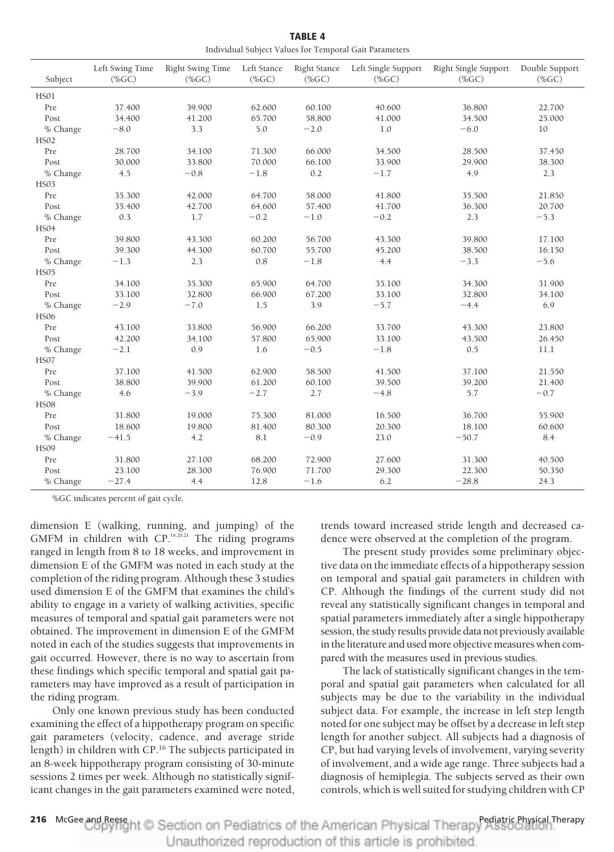**TABLE 4** Individual Subject Values for Temporal Gait Parameters

| Subject     | Left Swing Time<br>$(% ^{0}G)$ | <b>Right Swing Time</b><br>$(% ^{0}G)$ | Left Stance<br>$(% ^{0}G)$ | Right Stance<br>$(% ^{0}G)$ | Left Single Support<br>$(\%GC)$ | Right Single Support<br>$(% ^{0}G)$ | Double Support<br>$(% ^{0}GC)$ |
|-------------|--------------------------------|----------------------------------------|----------------------------|-----------------------------|---------------------------------|-------------------------------------|--------------------------------|
|             |                                |                                        |                            |                             |                                 |                                     |                                |
| HS01        |                                |                                        |                            |                             |                                 |                                     |                                |
| Pre         | 37.400                         | 39.900                                 | 62.600                     | 60.100                      | 40.600                          | 36.800                              | 22.700                         |
| Post        | 34.400                         | 41.200                                 | 65.700                     | 58.800                      | 41.000                          | 34.500                              | 25.000                         |
| % Change    | $-8.0$                         | 3.3                                    | 5.0                        | $-2.0$                      | 1.0                             | $-6.0$                              | 10                             |
| <b>HS02</b> |                                |                                        |                            |                             |                                 |                                     |                                |
| Pre         | 28.700                         | 34.100                                 | 71.300                     | 66.000                      | 34.500                          | 28.500                              | 37.450                         |
| Post        | 30.000                         | 33.800                                 | 70.000                     | 66.100                      | 33.900                          | 29.900                              | 38.300                         |
| % Change    | 4.5                            | $-0.8$                                 | $-1.8$                     | 0.2                         | $-1.7$                          | 4.9                                 | 2.3                            |
| <b>HS03</b> |                                |                                        |                            |                             |                                 |                                     |                                |
| Pre         | 35.300                         | 42.000                                 | 64.700                     | 58.000                      | 41.800                          | 35.500                              | 21.850                         |
| Post        | 35.400                         | 42.700                                 | 64.600                     | 57.400                      | 41.700                          | 36.300                              | 20.700                         |
| % Change    | 0.3                            | 1.7                                    | $-0.2$                     | $-1.0$                      | $-0.2$                          | 2.3                                 | $-5.3$                         |
| <b>HS04</b> |                                |                                        |                            |                             |                                 |                                     |                                |
| Pre         | 39.800                         | 43.300                                 | 60.200                     | 56.700                      | 43.300                          | 39.800                              | 17.100                         |
| Post        | 39.300                         | 44.300                                 | 60.700                     | 55.700                      | 45.200                          | 38.500                              | 16.150                         |
| % Change    | $-1.3$                         | 2.3                                    | $0.8\,$                    | $-1.8$                      | 4.4                             | $-3.3$                              | $-5.6$                         |
| <b>HS05</b> |                                |                                        |                            |                             |                                 |                                     |                                |
| Pre         | 34.100                         | 35.300                                 | 65.900                     | 64.700                      | 35.100                          | 34.300                              | 31.900                         |
| Post        | 33.100                         | 32.800                                 | 66.900                     | 67.200                      | 33.100                          | 32.800                              | 34.100                         |
| % Change    | $-2.9$                         | $-7.0$                                 | 1.5                        | 3.9                         | $-5.7$                          | $-4.4$                              | 6.9                            |
| <b>HS06</b> |                                |                                        |                            |                             |                                 |                                     |                                |
| Pre         | 43.100                         | 33.800                                 | 56.900                     | 66.200                      | 33.700                          | 43.300                              | 23.800                         |
| Post        | 42.200                         | 34.100                                 | 57.800                     | 65.900                      | 33.100                          | 43.500                              | 26.450                         |
| % Change    | $-2.1$                         | 0.9                                    | 1.6                        | $-0.5$                      | $-1.8$                          | 0.5                                 | 11.1                           |
| HS07        |                                |                                        |                            |                             |                                 |                                     |                                |
| Pre         | 37.100                         | 41.500                                 | 62.900                     | 58.500                      | 41.500                          | 37.100                              | 21.550                         |
| Post        | 38.800                         | 39.900                                 | 61.200                     | 60.100                      | 39.500                          | 39.200                              | 21.400                         |
| % Change    | 4.6                            | $-3.9$                                 | $-2.7$                     | 2.7                         | $-4.8$                          | 5.7                                 | $-0.7$                         |
| <b>HS08</b> |                                |                                        |                            |                             |                                 |                                     |                                |
| Pre         | 31.800                         | 19.000                                 | 75.300                     | 81.000                      | 16.500                          | 36.700                              | 55.900                         |
| Post        | 18.600                         | 19.800                                 | 81.400                     | 80.300                      | 20.300                          | 18.100                              | 60.600                         |
| % Change    | $-41.5$                        | 4.2                                    | 8.1                        | $-0.9$                      | 23.0                            | $-50.7$                             | 8.4                            |
| <b>HS09</b> |                                |                                        |                            |                             |                                 |                                     |                                |
| Pre         | 31.800                         | 27.100                                 | 68.200                     | 72.900                      | 27.600                          | 31.300                              | 40.500                         |
| Post        | 23.100                         | 28.300                                 | 76.900                     | 71.700                      | 29.300                          | 22.300                              | 50.350                         |
| % Change    | $-27.4$                        | 4.4                                    | 12.8                       | $-1.6$                      | 6.2                             | $-28.8$                             | 24.3                           |

%GC indicates percent of gait cycle.

dimension E (walking, running, and jumping) of the GMFM in children with  $CP$ <sup>16,20,21</sup> The riding programs ranged in length from 8 to 18 weeks, and improvement in dimension E of the GMFM was noted in each study at the completion of the riding program. Although these 3 studies used dimension E of the GMFM that examines the child's ability to engage in a variety of walking activities, specific measures of temporal and spatial gait parameters were not obtained. The improvement in dimension E of the GMFM noted in each of the studies suggests that improvements in gait occurred. However, there is no way to ascertain from these findings which specific temporal and spatial gait parameters may have improved as a result of participation in the riding program.

Only one known previous study has been conducted examining the effect of a hippotherapy program on specific gait parameters (velocity, cadence, and average stride length) in children with CP.<sup>16</sup> The subjects participated in an 8-week hippotherapy program consisting of 30-minute sessions 2 times per week. Although no statistically significant changes in the gait parameters examined were noted,

trends toward increased stride length and decreased cadence were observed at the completion of the program.

The present study provides some preliminary objective data on the immediate effects of a hippotherapy session on temporal and spatial gait parameters in children with CP. Although the findings of the current study did not reveal any statistically significant changes in temporal and spatial parameters immediately after a single hippotherapy session, the study results provide data not previously available in the literature and used more objective measures when compared with the measures used in previous studies.

The lack of statistically significant changes in the temporal and spatial gait parameters when calculated for all subjects may be due to the variability in the individual subject data. For example, the increase in left step length noted for one subject may be offset by a decrease in left step length for another subject. All subjects had a diagnosis of CP, but had varying levels of involvement, varying severity of involvement, and a wide age range. Three subjects had a diagnosis of hemiplegia. The subjects served as their own controls, which is well suited for studying children with CP

216 McGee and Reese ht © Section on Pediatrics of the American Physical Therapy Association. Unauthorized reproduction of this article is prohibited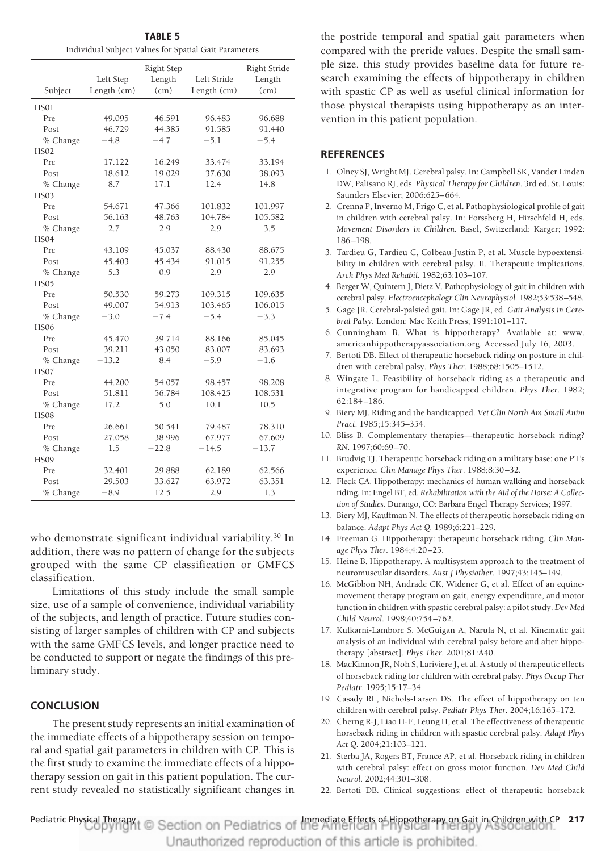| <b>TABLE 5</b>                                        |
|-------------------------------------------------------|
| Individual Subject Values for Spatial Gait Parameters |
|                                                       |

|             |             | <b>Right Step</b> |             | Right Stride |
|-------------|-------------|-------------------|-------------|--------------|
|             | Left Step   | Length            | Left Stride | Length       |
| Subject     | Length (cm) | (cm)              | Length (cm) | (cm)         |
| HS01        |             |                   |             |              |
| Pre         | 49.095      | 46.591            | 96.483      | 96.688       |
| Post        | 46.729      | 44.385            | 91.585      | 91.440       |
| % Change    | $-4.8$      | $-4.7$            | $-5.1$      | $-5.4$       |
| <b>HS02</b> |             |                   |             |              |
| Pre         | 17.122      | 16.249            | 33.474      | 33.194       |
| Post        | 18.612      | 19.029            | 37.630      | 38.093       |
| % Change    | 8.7         | 17.1              | 12.4        | 14.8         |
| <b>HS03</b> |             |                   |             |              |
| Pre         | 54.671      | 47.366            | 101.832     | 101.997      |
| Post        | 56.163      | 48.763            | 104.784     | 105.582      |
| % Change    | 2.7         | 2.9               | 2.9         | 3.5          |
| <b>HS04</b> |             |                   |             |              |
| Pre         | 43.109      | 45.037            | 88.430      | 88.675       |
| Post        | 45.403      | 45.434            | 91.015      | 91.255       |
| % Change    | 5.3         | 0.9               | 2.9         | 2.9          |
| <b>HS05</b> |             |                   |             |              |
| Pre.        | 50.530      | 59.273            | 109.315     | 109.635      |
| Post        | 49.007      | 54.913            | 103.465     | 106.015      |
| % Change    | $-3.0$      | $-7.4$            | $-5.4$      | $-3.3$       |
| <b>HS06</b> |             |                   |             |              |
| Pre         | 45.470      | 39.714            | 88.166      | 85.045       |
| Post        | 39.211      | 43.050            | 83.007      | 83.693       |
| % Change    | $-13.2$     | 8.4               | $-5.9$      | $-1.6$       |
| <b>HS07</b> |             |                   |             |              |
| Pre.        | 44.200      | 54.057            | 98.457      | 98.208       |
| Post        | 51.811      | 56.784            | 108.425     | 108.531      |
| % Change    | 17.2        | 5.0               | 10.1        | 10.5         |
| <b>HS08</b> |             |                   |             |              |
| Pre         | 26.661      | 50.541            | 79.487      | 78.310       |
| Post        | 27.058      | 38.996            | 67.977      | 67.609       |
| % Change    | 1.5         | $-22.8$           | $-14.5$     | $-13.7$      |
| <b>HS09</b> |             |                   |             |              |
| Pre         | 32.401      | 29.888            | 62.189      | 62.566       |
| Post        | 29.503      | 33.627            | 63.972      | 63.351       |
| % Change    | $-8.9$      | 12.5              | 2.9         | 1.3          |

who demonstrate significant individual variability.<sup>30</sup> In addition, there was no pattern of change for the subjects grouped with the same CP classification or GMFCS classification.

Limitations of this study include the small sample size, use of a sample of convenience, individual variability of the subjects, and length of practice. Future studies consisting of larger samples of children with CP and subjects with the same GMFCS levels, and longer practice need to be conducted to support or negate the findings of this preliminary study.

## **CONCLUSION**

The present study represents an initial examination of the immediate effects of a hippotherapy session on temporal and spatial gait parameters in children with CP. This is the first study to examine the immediate effects of a hippotherapy session on gait in this patient population. The current study revealed no statistically significant changes in

the postride temporal and spatial gait parameters when compared with the preride values. Despite the small sample size, this study provides baseline data for future research examining the effects of hippotherapy in children with spastic CP as well as useful clinical information for those physical therapists using hippotherapy as an intervention in this patient population.

## **REFERENCES**

- 1. Olney SJ, Wright MJ. Cerebral palsy. In: Campbell SK, Vander Linden DW, Palisano RJ, eds. *Physical Therapy for Children.* 3rd ed. St. Louis: Saunders Elsevier; 2006:625– 664.
- 2. Crenna P, Inverno M, Frigo C, et al. Pathophysiological profile of gait in children with cerebral palsy. In: Forssberg H, Hirschfeld H, eds. *Movement Disorders in Children.* Basel, Switzerland: Karger; 1992: 186 –198.
- 3. Tardieu G, Tardieu C, Colbeau-Justin P, et al. Muscle hypoextensibility in children with cerebral palsy. II. Therapeutic implications. *Arch Phys Med Rehabil.* 1982;63:103–107.
- 4. Berger W, Quintern J, Dietz V. Pathophysiology of gait in children with cerebral palsy. *Electroencephalogr Clin Neurophysiol.* 1982;53:538 –548.
- 5. Gage JR. Cerebral-palsied gait. In: Gage JR, ed. *Gait Analysis in Cerebral Palsy.* London: Mac Keith Press; 1991:101–117.
- 6. Cunningham B. What is hippotherapy? Available at: www. americanhippotherapyassociation.org. Accessed July 16, 2003.
- 7. Bertoti DB. Effect of therapeutic horseback riding on posture in children with cerebral palsy. *Phys Ther.* 1988;68:1505–1512.
- 8. Wingate L. Feasibility of horseback riding as a therapeutic and integrative program for handicapped children. *Phys Ther.* 1982; 62:184 –186.
- 9. Biery MJ. Riding and the handicapped. *Vet Clin North Am Small Anim Pract.* 1985;15:345–354.
- 10. Bliss B. Complementary therapies—therapeutic horseback riding? *RN.* 1997;60:69 –70.
- 11. Brudvig TJ. Therapeutic horseback riding on a military base: one PT's experience. *Clin Manage Phys Ther.* 1988;8:30 –32.
- 12. Fleck CA. Hippotherapy: mechanics of human walking and horseback riding. In: Engel BT, ed. *Rehabilitation with the Aid of the Horse: A Collection of Studies.* Durango, CO: Barbara Engel Therapy Services; 1997.
- 13. Biery MJ, Kauffman N. The effects of therapeutic horseback riding on balance. *Adapt Phys Act Q.* 1989;6:221–229.
- 14. Freeman G. Hippotherapy: therapeutic horseback riding. *Clin Manage Phys Ther.* 1984;4:20 –25.
- 15. Heine B. Hippotherapy. A multisystem approach to the treatment of neuromuscular disorders. *Aust J Physiother.* 1997;43:145–149.
- 16. McGibbon NH, Andrade CK, Widener G, et al. Effect of an equinemovement therapy program on gait, energy expenditure, and motor function in children with spastic cerebral palsy: a pilot study.*Dev Med Child Neurol.* 1998;40:754 –762.
- 17. Kulkarni-Lambore S, McGuigan A, Narula N, et al. Kinematic gait analysis of an individual with cerebral palsy before and after hippotherapy [abstract]. *Phys Ther.* 2001;81:A40.
- 18. MacKinnon JR, Noh S, Lariviere J, et al. A study of therapeutic effects of horseback riding for children with cerebral palsy. *Phys Occup Ther Pediatr.* 1995;15:17–34.
- 19. Casady RL, Nichols-Larsen DS. The effect of hippotherapy on ten children with cerebral palsy. *Pediatr Phys Ther.* 2004;16:165–172.
- 20. Cherng R-J, Liao H-F, Leung H, et al. The effectiveness of therapeutic horseback riding in children with spastic cerebral palsy. *Adapt Phys Act Q*. 2004;21:103–121.
- 21. Sterba JA, Rogers BT, France AP, et al. Horseback riding in children with cerebral palsy: effect on gross motor function*. Dev Med Child Neurol.* 2002;44:301–308.
- 22. Bertoti DB. Clinical suggestions: effect of therapeutic horseback

Pediatric Physical Therapy I<sub>mp</sub> Section on Pediatrics of Immediate Effects of Hippotherapy on Gait in Children with CP 217 Unauthorized reproduction of this article is prohibited